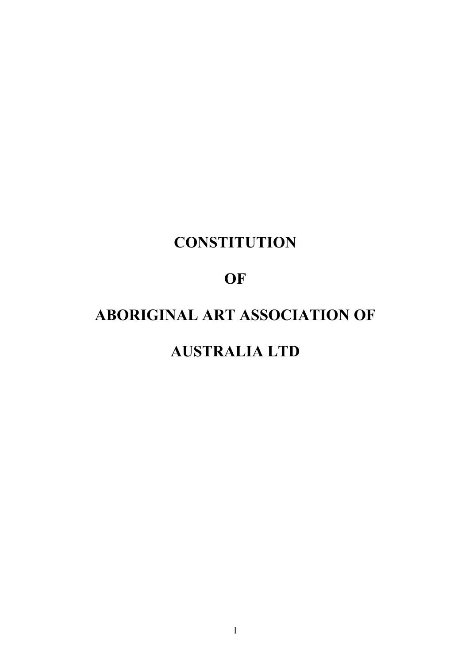# **CONSTITUTION**

## **OF**

# **ABORIGINAL ART ASSOCIATION OF**

## **AUSTRALIA LTD**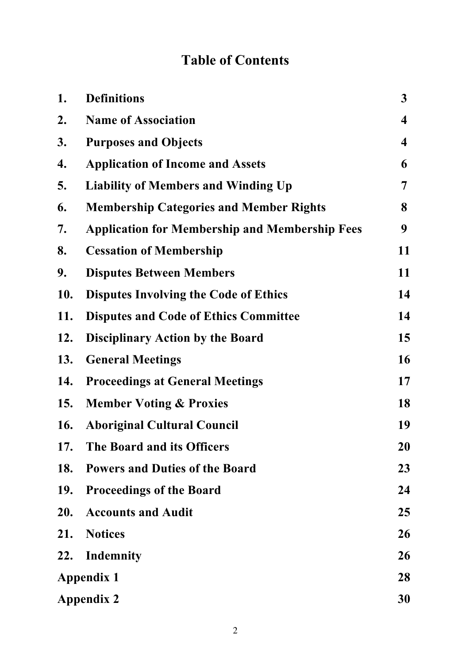## **Table of Contents**

| 1.         | <b>Definitions</b>                                    | $\mathbf{3}$            |
|------------|-------------------------------------------------------|-------------------------|
| 2.         | <b>Name of Association</b>                            | $\overline{\mathbf{4}}$ |
| 3.         | <b>Purposes and Objects</b>                           | $\overline{\mathbf{4}}$ |
| 4.         | <b>Application of Income and Assets</b>               | 6                       |
| 5.         | <b>Liability of Members and Winding Up</b>            | 7                       |
| 6.         | <b>Membership Categories and Member Rights</b>        | 8                       |
| 7.         | <b>Application for Membership and Membership Fees</b> | 9                       |
| 8.         | <b>Cessation of Membership</b>                        | 11                      |
| 9.         | <b>Disputes Between Members</b>                       | 11                      |
| <b>10.</b> | <b>Disputes Involving the Code of Ethics</b>          | 14                      |
| 11.        | <b>Disputes and Code of Ethics Committee</b>          | 14                      |
| 12.        | <b>Disciplinary Action by the Board</b>               | 15                      |
| 13.        | <b>General Meetings</b>                               | 16                      |
| 14.        | <b>Proceedings at General Meetings</b>                | 17                      |
| <b>15.</b> | <b>Member Voting &amp; Proxies</b>                    | 18                      |
| <b>16.</b> | <b>Aboriginal Cultural Council</b>                    | 19                      |
| 17.        | The Board and its Officers                            | 20                      |
| 18.        | <b>Powers and Duties of the Board</b>                 | 23                      |
| <b>19.</b> | <b>Proceedings of the Board</b>                       | 24                      |
| 20.        | <b>Accounts and Audit</b>                             | 25                      |
| 21.        | <b>Notices</b>                                        | 26                      |
| 22.        | Indemnity                                             | 26                      |
|            | <b>Appendix 1</b>                                     |                         |
|            | <b>Appendix 2</b>                                     |                         |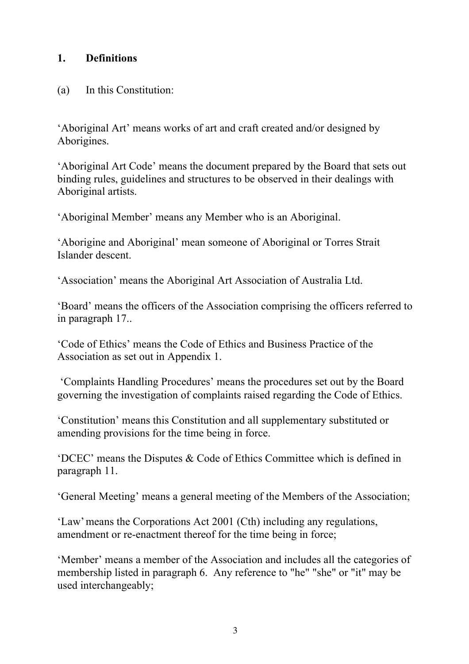## **1. Definitions**

#### (a) In this Constitution:

'Aboriginal Art' means works of art and craft created and/or designed by Aborigines.

'Aboriginal Art Code' means the document prepared by the Board that sets out binding rules, guidelines and structures to be observed in their dealings with Aboriginal artists.

'Aboriginal Member' means any Member who is an Aboriginal.

'Aborigine and Aboriginal' mean someone of Aboriginal or Torres Strait Islander descent.

'Association' means the Aboriginal Art Association of Australia Ltd.

'Board' means the officers of the Association comprising the officers referred to in paragraph 17..

'Code of Ethics' means the Code of Ethics and Business Practice of the Association as set out in Appendix 1.

'Complaints Handling Procedures' means the procedures set out by the Board governing the investigation of complaints raised regarding the Code of Ethics.

'Constitution' means this Constitution and all supplementary substituted or amending provisions for the time being in force.

'DCEC' means the Disputes & Code of Ethics Committee which is defined in paragraph 11.

'General Meeting' means a general meeting of the Members of the Association;

'Law'means the Corporations Act 2001 (Cth) including any regulations, amendment or re-enactment thereof for the time being in force;

'Member' means a member of the Association and includes all the categories of membership listed in paragraph 6. Any reference to "he" "she" or "it" may be used interchangeably;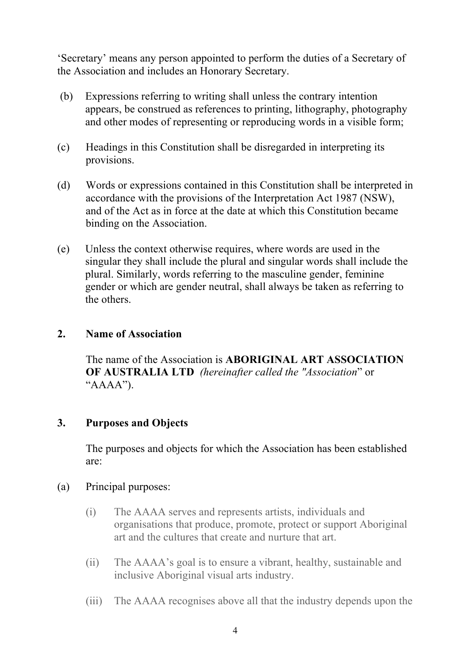'Secretary' means any person appointed to perform the duties of a Secretary of the Association and includes an Honorary Secretary.

- (b) Expressions referring to writing shall unless the contrary intention appears, be construed as references to printing, lithography, photography and other modes of representing or reproducing words in a visible form;
- (c) Headings in this Constitution shall be disregarded in interpreting its provisions.
- (d) Words or expressions contained in this Constitution shall be interpreted in accordance with the provisions of the Interpretation Act 1987 (NSW), and of the Act as in force at the date at which this Constitution became binding on the Association.
- (e) Unless the context otherwise requires, where words are used in the singular they shall include the plural and singular words shall include the plural. Similarly, words referring to the masculine gender, feminine gender or which are gender neutral, shall always be taken as referring to the others.

## **2. Name of Association**

The name of the Association is **ABORIGINAL ART ASSOCIATION OF AUSTRALIA LTD** *(hereinafter called the "Association*" or " $AAAA$ ").

#### **3. Purposes and Objects**

The purposes and objects for which the Association has been established are:

#### (a) Principal purposes:

- (i) The AAAA serves and represents artists, individuals and organisations that produce, promote, protect or support Aboriginal art and the cultures that create and nurture that art.
- (ii) The AAAA's goal is to ensure a vibrant, healthy, sustainable and inclusive Aboriginal visual arts industry.
- (iii) The AAAA recognises above all that the industry depends upon the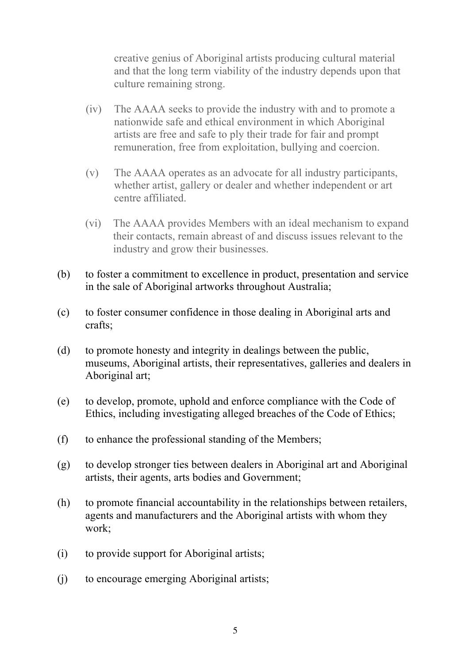creative genius of Aboriginal artists producing cultural material and that the long term viability of the industry depends upon that culture remaining strong.

- (iv) The AAAA seeks to provide the industry with and to promote a nationwide safe and ethical environment in which Aboriginal artists are free and safe to ply their trade for fair and prompt remuneration, free from exploitation, bullying and coercion.
- (v) The AAAA operates as an advocate for all industry participants, whether artist, gallery or dealer and whether independent or art centre affiliated.
- (vi) The AAAA provides Members with an ideal mechanism to expand their contacts, remain abreast of and discuss issues relevant to the industry and grow their businesses.
- (b) to foster a commitment to excellence in product, presentation and service in the sale of Aboriginal artworks throughout Australia;
- (c) to foster consumer confidence in those dealing in Aboriginal arts and crafts;
- (d) to promote honesty and integrity in dealings between the public, museums, Aboriginal artists, their representatives, galleries and dealers in Aboriginal art;
- (e) to develop, promote, uphold and enforce compliance with the Code of Ethics, including investigating alleged breaches of the Code of Ethics;
- (f) to enhance the professional standing of the Members;
- (g) to develop stronger ties between dealers in Aboriginal art and Aboriginal artists, their agents, arts bodies and Government;
- (h) to promote financial accountability in the relationships between retailers, agents and manufacturers and the Aboriginal artists with whom they work;
- (i) to provide support for Aboriginal artists;
- (j) to encourage emerging Aboriginal artists;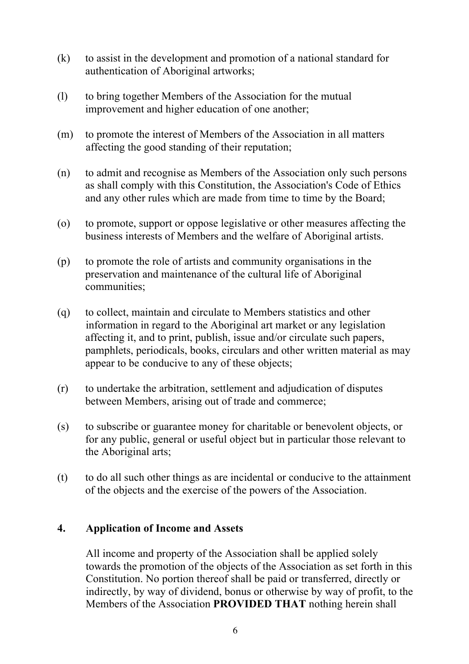- (k) to assist in the development and promotion of a national standard for authentication of Aboriginal artworks;
- (l) to bring together Members of the Association for the mutual improvement and higher education of one another;
- (m) to promote the interest of Members of the Association in all matters affecting the good standing of their reputation;
- (n) to admit and recognise as Members of the Association only such persons as shall comply with this Constitution, the Association's Code of Ethics and any other rules which are made from time to time by the Board;
- (o) to promote, support or oppose legislative or other measures affecting the business interests of Members and the welfare of Aboriginal artists.
- (p) to promote the role of artists and community organisations in the preservation and maintenance of the cultural life of Aboriginal communities;
- (q) to collect, maintain and circulate to Members statistics and other information in regard to the Aboriginal art market or any legislation affecting it, and to print, publish, issue and/or circulate such papers, pamphlets, periodicals, books, circulars and other written material as may appear to be conducive to any of these objects;
- (r) to undertake the arbitration, settlement and adjudication of disputes between Members, arising out of trade and commerce;
- (s) to subscribe or guarantee money for charitable or benevolent objects, or for any public, general or useful object but in particular those relevant to the Aboriginal arts;
- (t) to do all such other things as are incidental or conducive to the attainment of the objects and the exercise of the powers of the Association.

#### **4. Application of Income and Assets**

All income and property of the Association shall be applied solely towards the promotion of the objects of the Association as set forth in this Constitution. No portion thereof shall be paid or transferred, directly or indirectly, by way of dividend, bonus or otherwise by way of profit, to the Members of the Association **PROVIDED THAT** nothing herein shall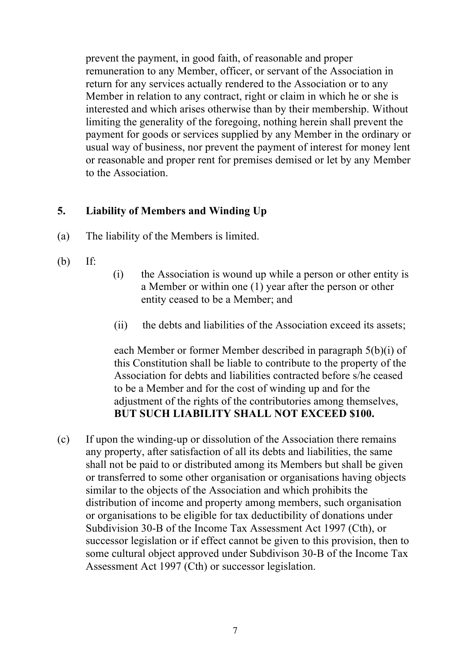prevent the payment, in good faith, of reasonable and proper remuneration to any Member, officer, or servant of the Association in return for any services actually rendered to the Association or to any Member in relation to any contract, right or claim in which he or she is interested and which arises otherwise than by their membership. Without limiting the generality of the foregoing, nothing herein shall prevent the payment for goods or services supplied by any Member in the ordinary or usual way of business, nor prevent the payment of interest for money lent or reasonable and proper rent for premises demised or let by any Member to the Association.

## **5. Liability of Members and Winding Up**

- (a) The liability of the Members is limited.
- (b) If:
- (i) the Association is wound up while a person or other entity is a Member or within one (1) year after the person or other entity ceased to be a Member; and
- (ii) the debts and liabilities of the Association exceed its assets;

each Member or former Member described in paragraph 5(b)(i) of this Constitution shall be liable to contribute to the property of the Association for debts and liabilities contracted before s/he ceased to be a Member and for the cost of winding up and for the adjustment of the rights of the contributories among themselves. **BUT SUCH LIABILITY SHALL NOT EXCEED \$100.**

(c) If upon the winding-up or dissolution of the Association there remains any property, after satisfaction of all its debts and liabilities, the same shall not be paid to or distributed among its Members but shall be given or transferred to some other organisation or organisations having objects similar to the objects of the Association and which prohibits the distribution of income and property among members, such organisation or organisations to be eligible for tax deductibility of donations under Subdivision 30-B of the Income Tax Assessment Act 1997 (Cth), or successor legislation or if effect cannot be given to this provision, then to some cultural object approved under Subdivison 30-B of the Income Tax Assessment Act 1997 (Cth) or successor legislation.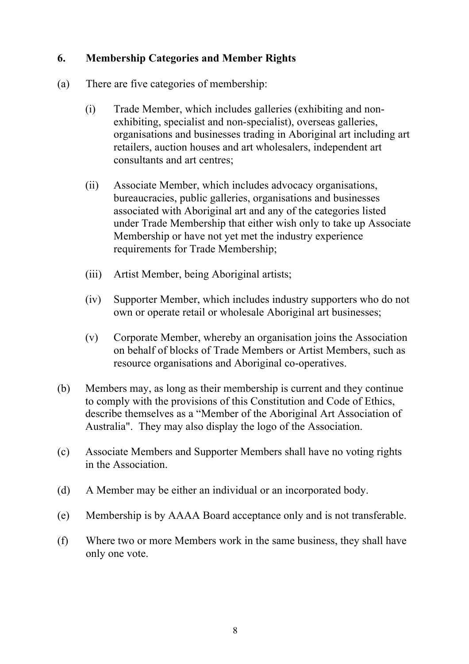## **6. Membership Categories and Member Rights**

- (a) There are five categories of membership:
	- (i) Trade Member, which includes galleries (exhibiting and nonexhibiting, specialist and non-specialist), overseas galleries, organisations and businesses trading in Aboriginal art including art retailers, auction houses and art wholesalers, independent art consultants and art centres;
	- (ii) Associate Member, which includes advocacy organisations, bureaucracies, public galleries, organisations and businesses associated with Aboriginal art and any of the categories listed under Trade Membership that either wish only to take up Associate Membership or have not yet met the industry experience requirements for Trade Membership;
	- (iii) Artist Member, being Aboriginal artists;
	- (iv) Supporter Member, which includes industry supporters who do not own or operate retail or wholesale Aboriginal art businesses;
	- (v) Corporate Member, whereby an organisation joins the Association on behalf of blocks of Trade Members or Artist Members, such as resource organisations and Aboriginal co-operatives.
- (b) Members may, as long as their membership is current and they continue to comply with the provisions of this Constitution and Code of Ethics, describe themselves as a "Member of the Aboriginal Art Association of Australia". They may also display the logo of the Association.
- (c) Associate Members and Supporter Members shall have no voting rights in the Association.
- (d) A Member may be either an individual or an incorporated body.
- (e) Membership is by AAAA Board acceptance only and is not transferable.
- (f) Where two or more Members work in the same business, they shall have only one vote.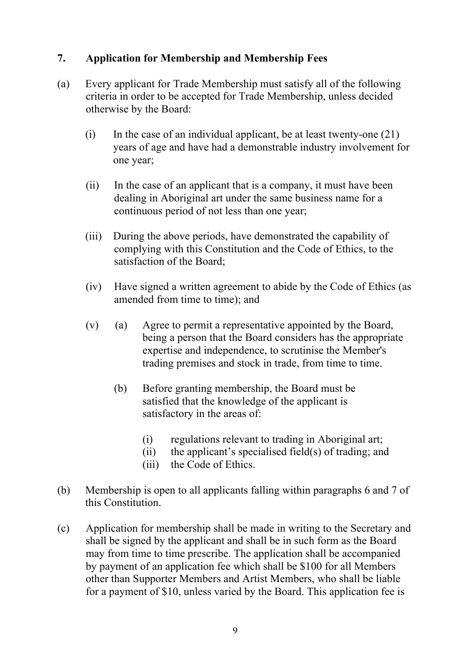## **7. Application for Membership and Membership Fees**

- (a) Every applicant for Trade Membership must satisfy all of the following criteria in order to be accepted for Trade Membership, unless decided otherwise by the Board:
	- (i) In the case of an individual applicant, be at least twenty-one  $(21)$ years of age and have had a demonstrable industry involvement for one year;
	- (ii) In the case of an applicant that is a company, it must have been dealing in Aboriginal art under the same business name for a continuous period of not less than one year;
	- (iii) During the above periods, have demonstrated the capability of complying with this Constitution and the Code of Ethics, to the satisfaction of the Board;
	- (iv) Have signed a written agreement to abide by the Code of Ethics (as amended from time to time); and
	- (v) (a) Agree to permit a representative appointed by the Board, being a person that the Board considers has the appropriate expertise and independence, to scrutinise the Member's trading premises and stock in trade, from time to time.
		- (b) Before granting membership, the Board must be satisfied that the knowledge of the applicant is satisfactory in the areas of:
			- (i) regulations relevant to trading in Aboriginal art;
			- (ii) the applicant's specialised field(s) of trading; and
			- (iii) the Code of Ethics.
- (b) Membership is open to all applicants falling within paragraphs 6 and 7 of this Constitution.
- (c) Application for membership shall be made in writing to the Secretary and shall be signed by the applicant and shall be in such form as the Board may from time to time prescribe. The application shall be accompanied by payment of an application fee which shall be \$100 for all Members other than Supporter Members and Artist Members, who shall be liable for a payment of \$10, unless varied by the Board. This application fee is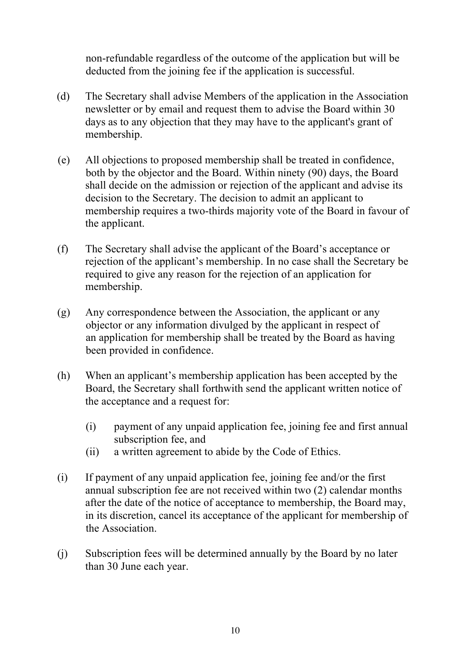non-refundable regardless of the outcome of the application but will be deducted from the joining fee if the application is successful.

- (d) The Secretary shall advise Members of the application in the Association newsletter or by email and request them to advise the Board within 30 days as to any objection that they may have to the applicant's grant of membership.
- (e) All objections to proposed membership shall be treated in confidence, both by the objector and the Board. Within ninety (90) days, the Board shall decide on the admission or rejection of the applicant and advise its decision to the Secretary. The decision to admit an applicant to membership requires a two-thirds majority vote of the Board in favour of the applicant.
- (f) The Secretary shall advise the applicant of the Board's acceptance or rejection of the applicant's membership. In no case shall the Secretary be required to give any reason for the rejection of an application for membership.
- (g) Any correspondence between the Association, the applicant or any objector or any information divulged by the applicant in respect of an application for membership shall be treated by the Board as having been provided in confidence.
- (h) When an applicant's membership application has been accepted by the Board, the Secretary shall forthwith send the applicant written notice of the acceptance and a request for:
	- (i) payment of any unpaid application fee, joining fee and first annual subscription fee, and
	- (ii) a written agreement to abide by the Code of Ethics.
- (i) If payment of any unpaid application fee, joining fee and/or the first annual subscription fee are not received within two (2) calendar months after the date of the notice of acceptance to membership, the Board may, in its discretion, cancel its acceptance of the applicant for membership of the Association.
- (j) Subscription fees will be determined annually by the Board by no later than 30 June each year.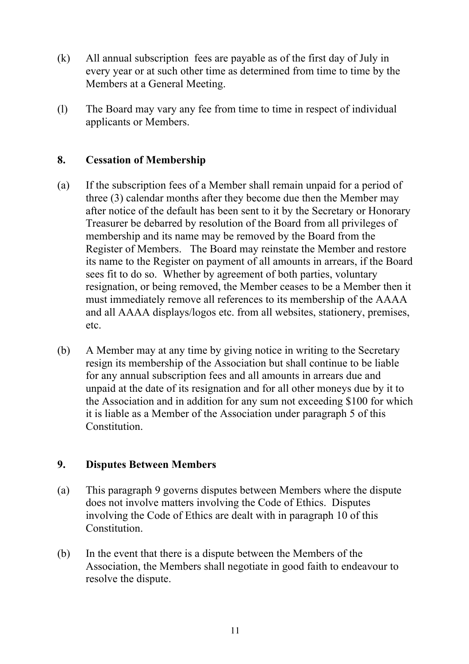- (k) All annual subscription fees are payable as of the first day of July in every year or at such other time as determined from time to time by the Members at a General Meeting.
- (l) The Board may vary any fee from time to time in respect of individual applicants or Members.

## **8. Cessation of Membership**

- (a) If the subscription fees of a Member shall remain unpaid for a period of three (3) calendar months after they become due then the Member may after notice of the default has been sent to it by the Secretary or Honorary Treasurer be debarred by resolution of the Board from all privileges of membership and its name may be removed by the Board from the Register of Members. The Board may reinstate the Member and restore its name to the Register on payment of all amounts in arrears, if the Board sees fit to do so. Whether by agreement of both parties, voluntary resignation, or being removed, the Member ceases to be a Member then it must immediately remove all references to its membership of the AAAA and all AAAA displays/logos etc. from all websites, stationery, premises, etc.
- (b) A Member may at any time by giving notice in writing to the Secretary resign its membership of the Association but shall continue to be liable for any annual subscription fees and all amounts in arrears due and unpaid at the date of its resignation and for all other moneys due by it to the Association and in addition for any sum not exceeding \$100 for which it is liable as a Member of the Association under paragraph 5 of this Constitution.

#### **9. Disputes Between Members**

- (a) This paragraph 9 governs disputes between Members where the dispute does not involve matters involving the Code of Ethics. Disputes involving the Code of Ethics are dealt with in paragraph 10 of this Constitution.
- (b) In the event that there is a dispute between the Members of the Association, the Members shall negotiate in good faith to endeavour to resolve the dispute.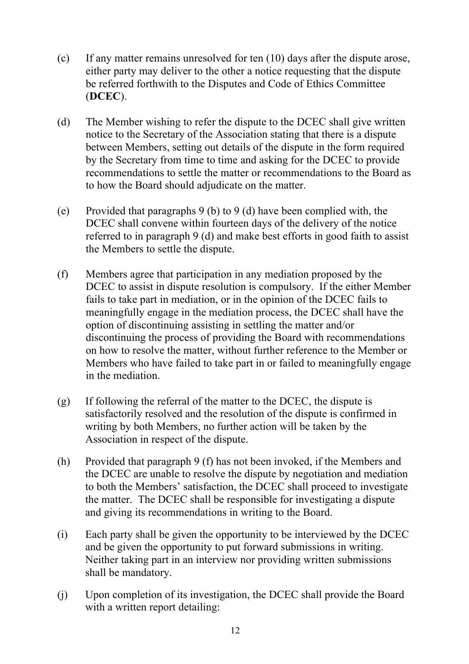- (c) If any matter remains unresolved for ten (10) days after the dispute arose, either party may deliver to the other a notice requesting that the dispute be referred forthwith to the Disputes and Code of Ethics Committee (**DCEC**).
- (d) The Member wishing to refer the dispute to the DCEC shall give written notice to the Secretary of the Association stating that there is a dispute between Members, setting out details of the dispute in the form required by the Secretary from time to time and asking for the DCEC to provide recommendations to settle the matter or recommendations to the Board as to how the Board should adjudicate on the matter.
- (e) Provided that paragraphs 9 (b) to 9 (d) have been complied with, the DCEC shall convene within fourteen days of the delivery of the notice referred to in paragraph 9 (d) and make best efforts in good faith to assist the Members to settle the dispute.
- (f) Members agree that participation in any mediation proposed by the DCEC to assist in dispute resolution is compulsory. If the either Member fails to take part in mediation, or in the opinion of the DCEC fails to meaningfully engage in the mediation process, the DCEC shall have the option of discontinuing assisting in settling the matter and/or discontinuing the process of providing the Board with recommendations on how to resolve the matter, without further reference to the Member or Members who have failed to take part in or failed to meaningfully engage in the mediation.
- (g) If following the referral of the matter to the DCEC, the dispute is satisfactorily resolved and the resolution of the dispute is confirmed in writing by both Members, no further action will be taken by the Association in respect of the dispute.
- (h) Provided that paragraph 9 (f) has not been invoked, if the Members and the DCEC are unable to resolve the dispute by negotiation and mediation to both the Members' satisfaction, the DCEC shall proceed to investigate the matter. The DCEC shall be responsible for investigating a dispute and giving its recommendations in writing to the Board.
- (i) Each party shall be given the opportunity to be interviewed by the DCEC and be given the opportunity to put forward submissions in writing. Neither taking part in an interview nor providing written submissions shall be mandatory.
- (j) Upon completion of its investigation, the DCEC shall provide the Board with a written report detailing: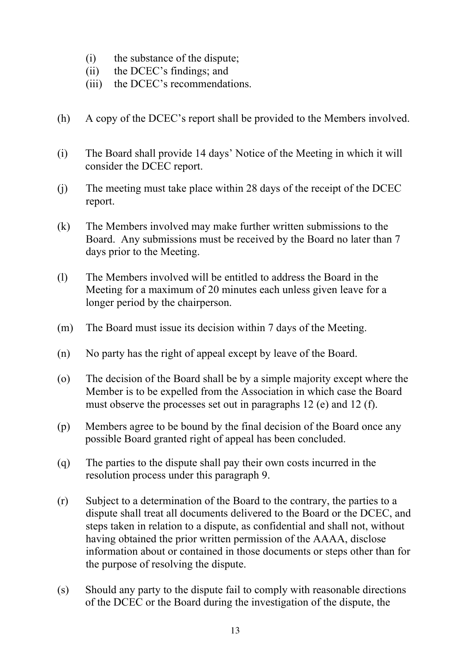- (i) the substance of the dispute;
- (ii) the DCEC's findings; and
- (iii) the DCEC's recommendations.
- (h) A copy of the DCEC's report shall be provided to the Members involved.
- (i) The Board shall provide 14 days' Notice of the Meeting in which it will consider the DCEC report.
- (j) The meeting must take place within 28 days of the receipt of the DCEC report.
- (k) The Members involved may make further written submissions to the Board. Any submissions must be received by the Board no later than 7 days prior to the Meeting.
- (l) The Members involved will be entitled to address the Board in the Meeting for a maximum of 20 minutes each unless given leave for a longer period by the chairperson.
- (m) The Board must issue its decision within 7 days of the Meeting.
- (n) No party has the right of appeal except by leave of the Board.
- (o) The decision of the Board shall be by a simple majority except where the Member is to be expelled from the Association in which case the Board must observe the processes set out in paragraphs 12 (e) and 12 (f).
- (p) Members agree to be bound by the final decision of the Board once any possible Board granted right of appeal has been concluded.
- (q) The parties to the dispute shall pay their own costs incurred in the resolution process under this paragraph 9.
- (r) Subject to a determination of the Board to the contrary, the parties to a dispute shall treat all documents delivered to the Board or the DCEC, and steps taken in relation to a dispute, as confidential and shall not, without having obtained the prior written permission of the AAAA, disclose information about or contained in those documents or steps other than for the purpose of resolving the dispute.
- (s) Should any party to the dispute fail to comply with reasonable directions of the DCEC or the Board during the investigation of the dispute, the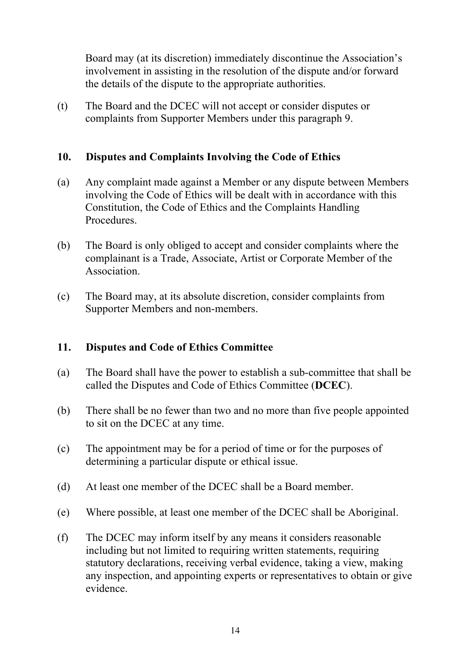Board may (at its discretion) immediately discontinue the Association's involvement in assisting in the resolution of the dispute and/or forward the details of the dispute to the appropriate authorities.

(t) The Board and the DCEC will not accept or consider disputes or complaints from Supporter Members under this paragraph 9.

## **10. Disputes and Complaints Involving the Code of Ethics**

- (a) Any complaint made against a Member or any dispute between Members involving the Code of Ethics will be dealt with in accordance with this Constitution, the Code of Ethics and the Complaints Handling Procedures.
- (b) The Board is only obliged to accept and consider complaints where the complainant is a Trade, Associate, Artist or Corporate Member of the Association.
- (c) The Board may, at its absolute discretion, consider complaints from Supporter Members and non-members.

#### **11. Disputes and Code of Ethics Committee**

- (a) The Board shall have the power to establish a sub-committee that shall be called the Disputes and Code of Ethics Committee (**DCEC**).
- (b) There shall be no fewer than two and no more than five people appointed to sit on the DCEC at any time.
- (c) The appointment may be for a period of time or for the purposes of determining a particular dispute or ethical issue.
- (d) At least one member of the DCEC shall be a Board member.
- (e) Where possible, at least one member of the DCEC shall be Aboriginal.
- (f) The DCEC may inform itself by any means it considers reasonable including but not limited to requiring written statements, requiring statutory declarations, receiving verbal evidence, taking a view, making any inspection, and appointing experts or representatives to obtain or give evidence.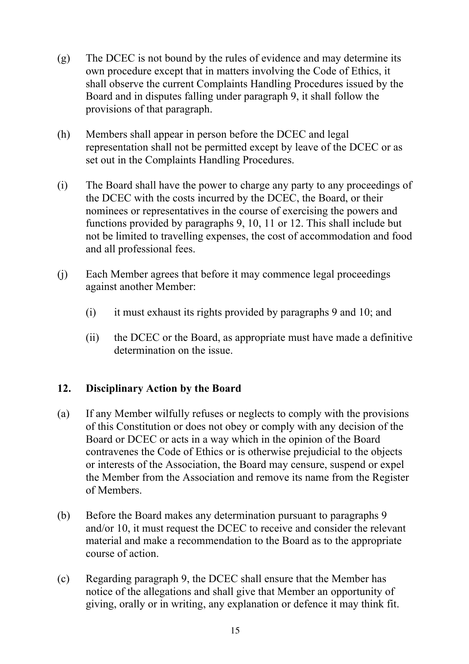- (g) The DCEC is not bound by the rules of evidence and may determine its own procedure except that in matters involving the Code of Ethics, it shall observe the current Complaints Handling Procedures issued by the Board and in disputes falling under paragraph 9, it shall follow the provisions of that paragraph.
- (h) Members shall appear in person before the DCEC and legal representation shall not be permitted except by leave of the DCEC or as set out in the Complaints Handling Procedures.
- (i) The Board shall have the power to charge any party to any proceedings of the DCEC with the costs incurred by the DCEC, the Board, or their nominees or representatives in the course of exercising the powers and functions provided by paragraphs 9, 10, 11 or 12. This shall include but not be limited to travelling expenses, the cost of accommodation and food and all professional fees.
- (j) Each Member agrees that before it may commence legal proceedings against another Member:
	- (i) it must exhaust its rights provided by paragraphs 9 and 10; and
	- (ii) the DCEC or the Board, as appropriate must have made a definitive determination on the issue.

## **12. Disciplinary Action by the Board**

- (a) If any Member wilfully refuses or neglects to comply with the provisions of this Constitution or does not obey or comply with any decision of the Board or DCEC or acts in a way which in the opinion of the Board contravenes the Code of Ethics or is otherwise prejudicial to the objects or interests of the Association, the Board may censure, suspend or expel the Member from the Association and remove its name from the Register of Members.
- (b) Before the Board makes any determination pursuant to paragraphs 9 and/or 10, it must request the DCEC to receive and consider the relevant material and make a recommendation to the Board as to the appropriate course of action.
- (c) Regarding paragraph 9, the DCEC shall ensure that the Member has notice of the allegations and shall give that Member an opportunity of giving, orally or in writing, any explanation or defence it may think fit.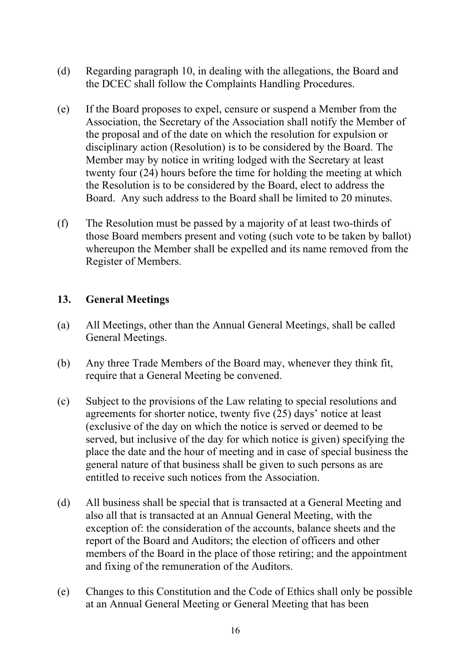- (d) Regarding paragraph 10, in dealing with the allegations, the Board and the DCEC shall follow the Complaints Handling Procedures.
- (e) If the Board proposes to expel, censure or suspend a Member from the Association, the Secretary of the Association shall notify the Member of the proposal and of the date on which the resolution for expulsion or disciplinary action (Resolution) is to be considered by the Board. The Member may by notice in writing lodged with the Secretary at least twenty four (24) hours before the time for holding the meeting at which the Resolution is to be considered by the Board, elect to address the Board. Any such address to the Board shall be limited to 20 minutes.
- (f) The Resolution must be passed by a majority of at least two-thirds of those Board members present and voting (such vote to be taken by ballot) whereupon the Member shall be expelled and its name removed from the Register of Members.

#### **13. General Meetings**

- (a) All Meetings, other than the Annual General Meetings, shall be called General Meetings.
- (b) Any three Trade Members of the Board may, whenever they think fit, require that a General Meeting be convened.
- (c) Subject to the provisions of the Law relating to special resolutions and agreements for shorter notice, twenty five (25) days' notice at least (exclusive of the day on which the notice is served or deemed to be served, but inclusive of the day for which notice is given) specifying the place the date and the hour of meeting and in case of special business the general nature of that business shall be given to such persons as are entitled to receive such notices from the Association.
- (d) All business shall be special that is transacted at a General Meeting and also all that is transacted at an Annual General Meeting, with the exception of: the consideration of the accounts, balance sheets and the report of the Board and Auditors; the election of officers and other members of the Board in the place of those retiring; and the appointment and fixing of the remuneration of the Auditors.
- (e) Changes to this Constitution and the Code of Ethics shall only be possible at an Annual General Meeting or General Meeting that has been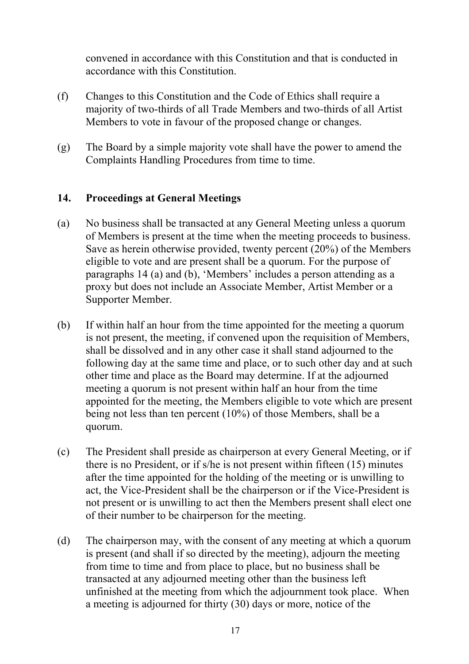convened in accordance with this Constitution and that is conducted in accordance with this Constitution.

- (f) Changes to this Constitution and the Code of Ethics shall require a majority of two-thirds of all Trade Members and two-thirds of all Artist Members to vote in favour of the proposed change or changes.
- (g) The Board by a simple majority vote shall have the power to amend the Complaints Handling Procedures from time to time.

## **14. Proceedings at General Meetings**

- (a) No business shall be transacted at any General Meeting unless a quorum of Members is present at the time when the meeting proceeds to business. Save as herein otherwise provided, twenty percent (20%) of the Members eligible to vote and are present shall be a quorum. For the purpose of paragraphs 14 (a) and (b), 'Members' includes a person attending as a proxy but does not include an Associate Member, Artist Member or a Supporter Member.
- (b) If within half an hour from the time appointed for the meeting a quorum is not present, the meeting, if convened upon the requisition of Members, shall be dissolved and in any other case it shall stand adjourned to the following day at the same time and place, or to such other day and at such other time and place as the Board may determine. If at the adjourned meeting a quorum is not present within half an hour from the time appointed for the meeting, the Members eligible to vote which are present being not less than ten percent (10%) of those Members, shall be a quorum.
- (c) The President shall preside as chairperson at every General Meeting, or if there is no President, or if s/he is not present within fifteen (15) minutes after the time appointed for the holding of the meeting or is unwilling to act, the Vice-President shall be the chairperson or if the Vice-President is not present or is unwilling to act then the Members present shall elect one of their number to be chairperson for the meeting.
- (d) The chairperson may, with the consent of any meeting at which a quorum is present (and shall if so directed by the meeting), adjourn the meeting from time to time and from place to place, but no business shall be transacted at any adjourned meeting other than the business left unfinished at the meeting from which the adjournment took place. When a meeting is adjourned for thirty (30) days or more, notice of the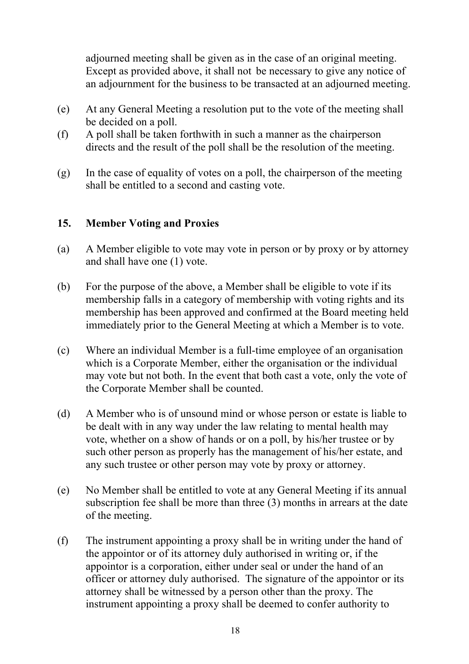adjourned meeting shall be given as in the case of an original meeting. Except as provided above, it shall not be necessary to give any notice of an adjournment for the business to be transacted at an adjourned meeting.

- (e) At any General Meeting a resolution put to the vote of the meeting shall be decided on a poll.
- (f) A poll shall be taken forthwith in such a manner as the chairperson directs and the result of the poll shall be the resolution of the meeting.
- (g) In the case of equality of votes on a poll, the chairperson of the meeting shall be entitled to a second and casting vote.

## **15. Member Voting and Proxies**

- (a) A Member eligible to vote may vote in person or by proxy or by attorney and shall have one (1) vote.
- (b) For the purpose of the above, a Member shall be eligible to vote if its membership falls in a category of membership with voting rights and its membership has been approved and confirmed at the Board meeting held immediately prior to the General Meeting at which a Member is to vote.
- (c) Where an individual Member is a full-time employee of an organisation which is a Corporate Member, either the organisation or the individual may vote but not both. In the event that both cast a vote, only the vote of the Corporate Member shall be counted.
- (d) A Member who is of unsound mind or whose person or estate is liable to be dealt with in any way under the law relating to mental health may vote, whether on a show of hands or on a poll, by his/her trustee or by such other person as properly has the management of his/her estate, and any such trustee or other person may vote by proxy or attorney.
- (e) No Member shall be entitled to vote at any General Meeting if its annual subscription fee shall be more than three (3) months in arrears at the date of the meeting.
- (f) The instrument appointing a proxy shall be in writing under the hand of the appointor or of its attorney duly authorised in writing or, if the appointor is a corporation, either under seal or under the hand of an officer or attorney duly authorised. The signature of the appointor or its attorney shall be witnessed by a person other than the proxy. The instrument appointing a proxy shall be deemed to confer authority to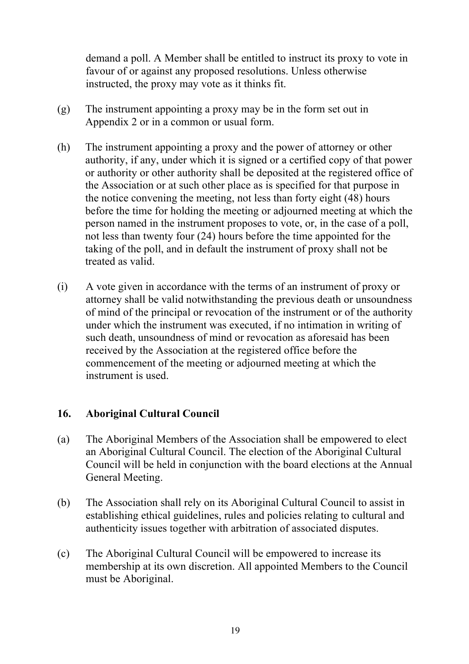demand a poll. A Member shall be entitled to instruct its proxy to vote in favour of or against any proposed resolutions. Unless otherwise instructed, the proxy may vote as it thinks fit.

- (g) The instrument appointing a proxy may be in the form set out in Appendix 2 or in a common or usual form.
- (h) The instrument appointing a proxy and the power of attorney or other authority, if any, under which it is signed or a certified copy of that power or authority or other authority shall be deposited at the registered office of the Association or at such other place as is specified for that purpose in the notice convening the meeting, not less than forty eight (48) hours before the time for holding the meeting or adjourned meeting at which the person named in the instrument proposes to vote, or, in the case of a poll, not less than twenty four (24) hours before the time appointed for the taking of the poll, and in default the instrument of proxy shall not be treated as valid.
- (i) A vote given in accordance with the terms of an instrument of proxy or attorney shall be valid notwithstanding the previous death or unsoundness of mind of the principal or revocation of the instrument or of the authority under which the instrument was executed, if no intimation in writing of such death, unsoundness of mind or revocation as aforesaid has been received by the Association at the registered office before the commencement of the meeting or adjourned meeting at which the instrument is used.

#### **16. Aboriginal Cultural Council**

- (a) The Aboriginal Members of the Association shall be empowered to elect an Aboriginal Cultural Council. The election of the Aboriginal Cultural Council will be held in conjunction with the board elections at the Annual General Meeting.
- (b) The Association shall rely on its Aboriginal Cultural Council to assist in establishing ethical guidelines, rules and policies relating to cultural and authenticity issues together with arbitration of associated disputes.
- (c) The Aboriginal Cultural Council will be empowered to increase its membership at its own discretion. All appointed Members to the Council must be Aboriginal.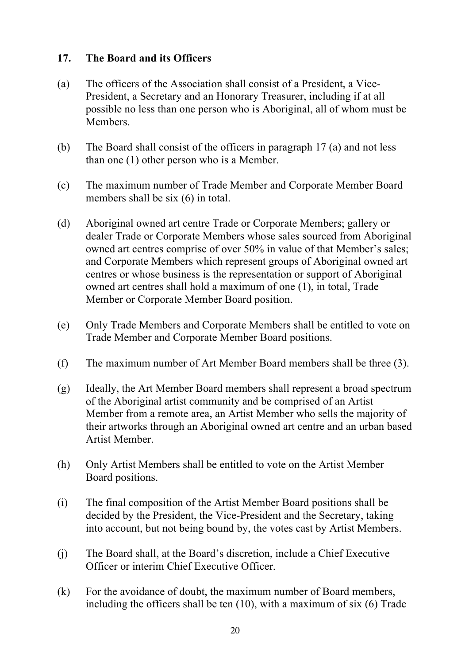## **17. The Board and its Officers**

- (a) The officers of the Association shall consist of a President, a Vice-President, a Secretary and an Honorary Treasurer, including if at all possible no less than one person who is Aboriginal, all of whom must be Members.
- (b) The Board shall consist of the officers in paragraph 17 (a) and not less than one (1) other person who is a Member.
- (c) The maximum number of Trade Member and Corporate Member Board members shall be six (6) in total.
- (d) Aboriginal owned art centre Trade or Corporate Members; gallery or dealer Trade or Corporate Members whose sales sourced from Aboriginal owned art centres comprise of over 50% in value of that Member's sales; and Corporate Members which represent groups of Aboriginal owned art centres or whose business is the representation or support of Aboriginal owned art centres shall hold a maximum of one (1), in total, Trade Member or Corporate Member Board position.
- (e) Only Trade Members and Corporate Members shall be entitled to vote on Trade Member and Corporate Member Board positions.
- (f) The maximum number of Art Member Board members shall be three (3).
- (g) Ideally, the Art Member Board members shall represent a broad spectrum of the Aboriginal artist community and be comprised of an Artist Member from a remote area, an Artist Member who sells the majority of their artworks through an Aboriginal owned art centre and an urban based Artist Member.
- (h) Only Artist Members shall be entitled to vote on the Artist Member Board positions.
- (i) The final composition of the Artist Member Board positions shall be decided by the President, the Vice-President and the Secretary, taking into account, but not being bound by, the votes cast by Artist Members.
- (j) The Board shall, at the Board's discretion, include a Chief Executive Officer or interim Chief Executive Officer.
- (k) For the avoidance of doubt, the maximum number of Board members, including the officers shall be ten (10), with a maximum of six (6) Trade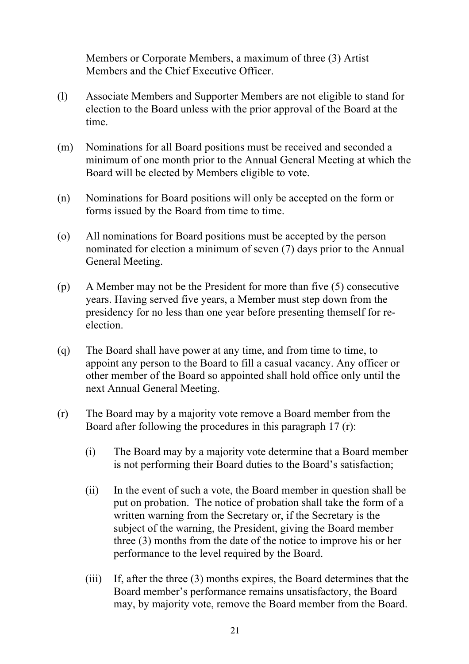Members or Corporate Members, a maximum of three (3) Artist Members and the Chief Executive Officer.

- (l) Associate Members and Supporter Members are not eligible to stand for election to the Board unless with the prior approval of the Board at the time.
- (m) Nominations for all Board positions must be received and seconded a minimum of one month prior to the Annual General Meeting at which the Board will be elected by Members eligible to vote.
- (n) Nominations for Board positions will only be accepted on the form or forms issued by the Board from time to time.
- (o) All nominations for Board positions must be accepted by the person nominated for election a minimum of seven (7) days prior to the Annual General Meeting.
- (p) A Member may not be the President for more than five (5) consecutive years. Having served five years, a Member must step down from the presidency for no less than one year before presenting themself for reelection.
- (q) The Board shall have power at any time, and from time to time, to appoint any person to the Board to fill a casual vacancy. Any officer or other member of the Board so appointed shall hold office only until the next Annual General Meeting.
- (r) The Board may by a majority vote remove a Board member from the Board after following the procedures in this paragraph 17 (r):
	- (i) The Board may by a majority vote determine that a Board member is not performing their Board duties to the Board's satisfaction;
	- (ii) In the event of such a vote, the Board member in question shall be put on probation. The notice of probation shall take the form of a written warning from the Secretary or, if the Secretary is the subject of the warning, the President, giving the Board member three (3) months from the date of the notice to improve his or her performance to the level required by the Board.
	- (iii) If, after the three (3) months expires, the Board determines that the Board member's performance remains unsatisfactory, the Board may, by majority vote, remove the Board member from the Board.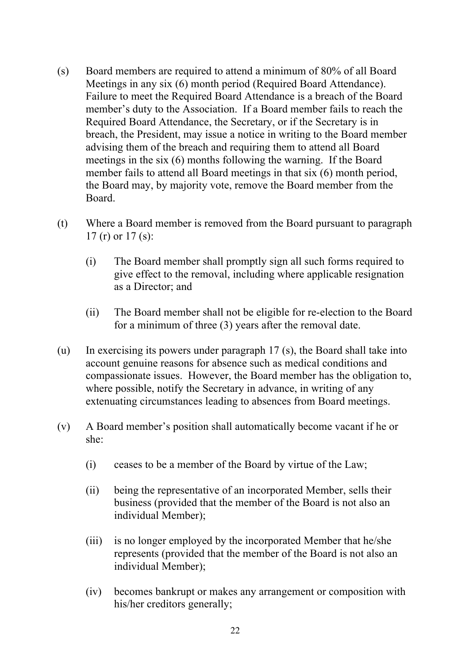- (s) Board members are required to attend a minimum of 80% of all Board Meetings in any six (6) month period (Required Board Attendance). Failure to meet the Required Board Attendance is a breach of the Board member's duty to the Association. If a Board member fails to reach the Required Board Attendance, the Secretary, or if the Secretary is in breach, the President, may issue a notice in writing to the Board member advising them of the breach and requiring them to attend all Board meetings in the six (6) months following the warning. If the Board member fails to attend all Board meetings in that six (6) month period, the Board may, by majority vote, remove the Board member from the Board.
- (t) Where a Board member is removed from the Board pursuant to paragraph 17 (r) or 17 (s):
	- (i) The Board member shall promptly sign all such forms required to give effect to the removal, including where applicable resignation as a Director; and
	- (ii) The Board member shall not be eligible for re-election to the Board for a minimum of three (3) years after the removal date.
- (u) In exercising its powers under paragraph 17 (s), the Board shall take into account genuine reasons for absence such as medical conditions and compassionate issues. However, the Board member has the obligation to, where possible, notify the Secretary in advance, in writing of any extenuating circumstances leading to absences from Board meetings.
- (v) A Board member's position shall automatically become vacant if he or she:
	- (i) ceases to be a member of the Board by virtue of the Law;
	- (ii) being the representative of an incorporated Member, sells their business (provided that the member of the Board is not also an individual Member);
	- (iii) is no longer employed by the incorporated Member that he/she represents (provided that the member of the Board is not also an individual Member);
	- (iv) becomes bankrupt or makes any arrangement or composition with his/her creditors generally;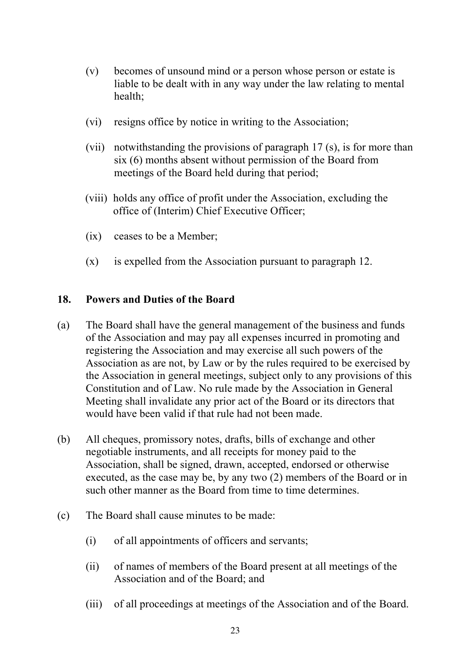- (v) becomes of unsound mind or a person whose person or estate is liable to be dealt with in any way under the law relating to mental health;
- (vi) resigns office by notice in writing to the Association;
- (vii) notwithstanding the provisions of paragraph 17 (s), is for more than six (6) months absent without permission of the Board from meetings of the Board held during that period;
- (viii) holds any office of profit under the Association, excluding the office of (Interim) Chief Executive Officer;
- (ix) ceases to be a Member;
- (x) is expelled from the Association pursuant to paragraph 12.

#### **18. Powers and Duties of the Board**

- (a) The Board shall have the general management of the business and funds of the Association and may pay all expenses incurred in promoting and registering the Association and may exercise all such powers of the Association as are not, by Law or by the rules required to be exercised by the Association in general meetings, subject only to any provisions of this Constitution and of Law. No rule made by the Association in General Meeting shall invalidate any prior act of the Board or its directors that would have been valid if that rule had not been made.
- (b) All cheques, promissory notes, drafts, bills of exchange and other negotiable instruments, and all receipts for money paid to the Association, shall be signed, drawn, accepted, endorsed or otherwise executed, as the case may be, by any two (2) members of the Board or in such other manner as the Board from time to time determines.
- (c) The Board shall cause minutes to be made:
	- (i) of all appointments of officers and servants;
	- (ii) of names of members of the Board present at all meetings of the Association and of the Board; and
	- (iii) of all proceedings at meetings of the Association and of the Board.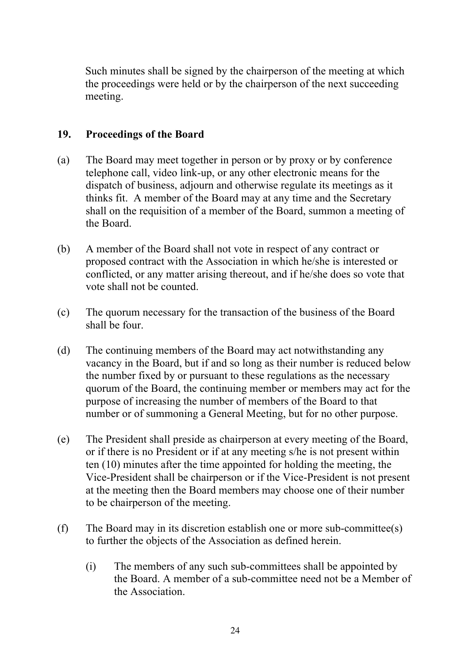Such minutes shall be signed by the chairperson of the meeting at which the proceedings were held or by the chairperson of the next succeeding meeting.

## **19. Proceedings of the Board**

- (a) The Board may meet together in person or by proxy or by conference telephone call, video link-up, or any other electronic means for the dispatch of business, adjourn and otherwise regulate its meetings as it thinks fit. A member of the Board may at any time and the Secretary shall on the requisition of a member of the Board, summon a meeting of the Board.
- (b) A member of the Board shall not vote in respect of any contract or proposed contract with the Association in which he/she is interested or conflicted, or any matter arising thereout, and if he/she does so vote that vote shall not be counted.
- (c) The quorum necessary for the transaction of the business of the Board shall be four.
- (d) The continuing members of the Board may act notwithstanding any vacancy in the Board, but if and so long as their number is reduced below the number fixed by or pursuant to these regulations as the necessary quorum of the Board, the continuing member or members may act for the purpose of increasing the number of members of the Board to that number or of summoning a General Meeting, but for no other purpose.
- (e) The President shall preside as chairperson at every meeting of the Board, or if there is no President or if at any meeting s/he is not present within ten (10) minutes after the time appointed for holding the meeting, the Vice-President shall be chairperson or if the Vice-President is not present at the meeting then the Board members may choose one of their number to be chairperson of the meeting.
- (f) The Board may in its discretion establish one or more sub-committee(s) to further the objects of the Association as defined herein.
	- (i) The members of any such sub-committees shall be appointed by the Board. A member of a sub-committee need not be a Member of the Association.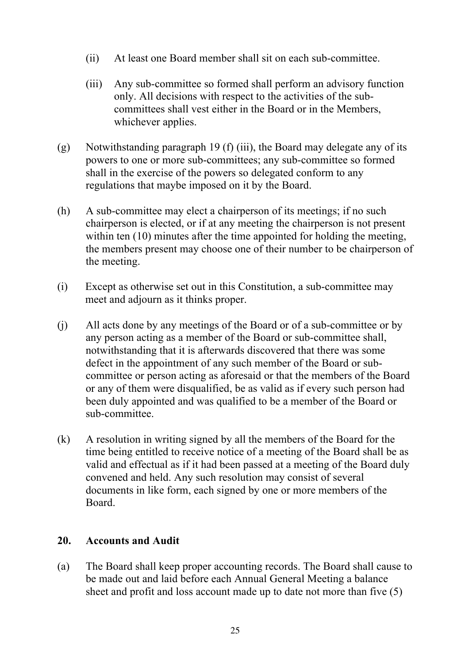- (ii) At least one Board member shall sit on each sub-committee.
- (iii) Any sub-committee so formed shall perform an advisory function only. All decisions with respect to the activities of the subcommittees shall vest either in the Board or in the Members, whichever applies.
- (g) Notwithstanding paragraph 19 (f) (iii), the Board may delegate any of its powers to one or more sub-committees; any sub-committee so formed shall in the exercise of the powers so delegated conform to any regulations that maybe imposed on it by the Board.
- (h) A sub-committee may elect a chairperson of its meetings; if no such chairperson is elected, or if at any meeting the chairperson is not present within ten (10) minutes after the time appointed for holding the meeting, the members present may choose one of their number to be chairperson of the meeting.
- (i) Except as otherwise set out in this Constitution, a sub-committee may meet and adjourn as it thinks proper.
- (j) All acts done by any meetings of the Board or of a sub-committee or by any person acting as a member of the Board or sub-committee shall, notwithstanding that it is afterwards discovered that there was some defect in the appointment of any such member of the Board or subcommittee or person acting as aforesaid or that the members of the Board or any of them were disqualified, be as valid as if every such person had been duly appointed and was qualified to be a member of the Board or sub-committee.
- (k) A resolution in writing signed by all the members of the Board for the time being entitled to receive notice of a meeting of the Board shall be as valid and effectual as if it had been passed at a meeting of the Board duly convened and held. Any such resolution may consist of several documents in like form, each signed by one or more members of the Board.

## **20. Accounts and Audit**

(a) The Board shall keep proper accounting records. The Board shall cause to be made out and laid before each Annual General Meeting a balance sheet and profit and loss account made up to date not more than five (5)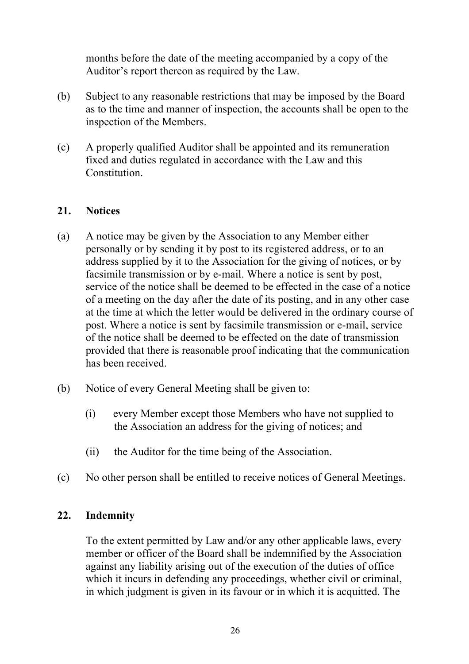months before the date of the meeting accompanied by a copy of the Auditor's report thereon as required by the Law.

- (b) Subject to any reasonable restrictions that may be imposed by the Board as to the time and manner of inspection, the accounts shall be open to the inspection of the Members.
- (c) A properly qualified Auditor shall be appointed and its remuneration fixed and duties regulated in accordance with the Law and this **Constitution**

## **21. Notices**

- (a) A notice may be given by the Association to any Member either personally or by sending it by post to its registered address, or to an address supplied by it to the Association for the giving of notices, or by facsimile transmission or by e-mail. Where a notice is sent by post, service of the notice shall be deemed to be effected in the case of a notice of a meeting on the day after the date of its posting, and in any other case at the time at which the letter would be delivered in the ordinary course of post. Where a notice is sent by facsimile transmission or e-mail, service of the notice shall be deemed to be effected on the date of transmission provided that there is reasonable proof indicating that the communication has been received.
- (b) Notice of every General Meeting shall be given to:
	- (i) every Member except those Members who have not supplied to the Association an address for the giving of notices; and
	- (ii) the Auditor for the time being of the Association.
- (c) No other person shall be entitled to receive notices of General Meetings.

#### **22. Indemnity**

To the extent permitted by Law and/or any other applicable laws, every member or officer of the Board shall be indemnified by the Association against any liability arising out of the execution of the duties of office which it incurs in defending any proceedings, whether civil or criminal, in which judgment is given in its favour or in which it is acquitted. The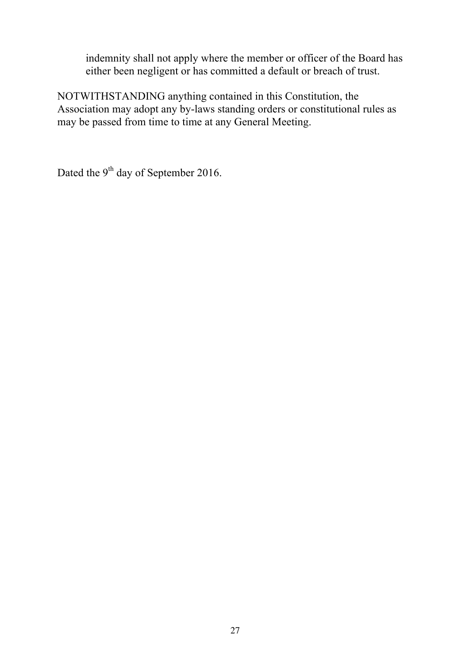indemnity shall not apply where the member or officer of the Board has either been negligent or has committed a default or breach of trust.

NOTWITHSTANDING anything contained in this Constitution, the Association may adopt any by-laws standing orders or constitutional rules as may be passed from time to time at any General Meeting.

Dated the 9<sup>th</sup> day of September 2016.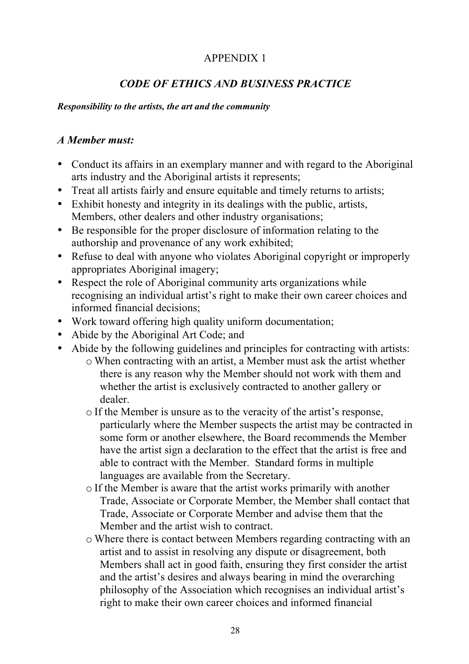## APPENDIX 1

## *CODE OF ETHICS AND BUSINESS PRACTICE*

#### *Responsibility to the artists, the art and the community*

## *A Member must:*

- Conduct its affairs in an exemplary manner and with regard to the Aboriginal arts industry and the Aboriginal artists it represents;
- Treat all artists fairly and ensure equitable and timely returns to artists;
- Exhibit honesty and integrity in its dealings with the public, artists, Members, other dealers and other industry organisations;
- Be responsible for the proper disclosure of information relating to the authorship and provenance of any work exhibited;
- Refuse to deal with anyone who violates Aboriginal copyright or improperly appropriates Aboriginal imagery;
- Respect the role of Aboriginal community arts organizations while recognising an individual artist's right to make their own career choices and informed financial decisions;
- Work toward offering high quality uniform documentation;
- Abide by the Aboriginal Art Code; and
- Abide by the following guidelines and principles for contracting with artists:
	- o When contracting with an artist, a Member must ask the artist whether there is any reason why the Member should not work with them and whether the artist is exclusively contracted to another gallery or dealer.
	- o If the Member is unsure as to the veracity of the artist's response, particularly where the Member suspects the artist may be contracted in some form or another elsewhere, the Board recommends the Member have the artist sign a declaration to the effect that the artist is free and able to contract with the Member. Standard forms in multiple languages are available from the Secretary.
	- o If the Member is aware that the artist works primarily with another Trade, Associate or Corporate Member, the Member shall contact that Trade, Associate or Corporate Member and advise them that the Member and the artist wish to contract.
	- o Where there is contact between Members regarding contracting with an artist and to assist in resolving any dispute or disagreement, both Members shall act in good faith, ensuring they first consider the artist and the artist's desires and always bearing in mind the overarching philosophy of the Association which recognises an individual artist's right to make their own career choices and informed financial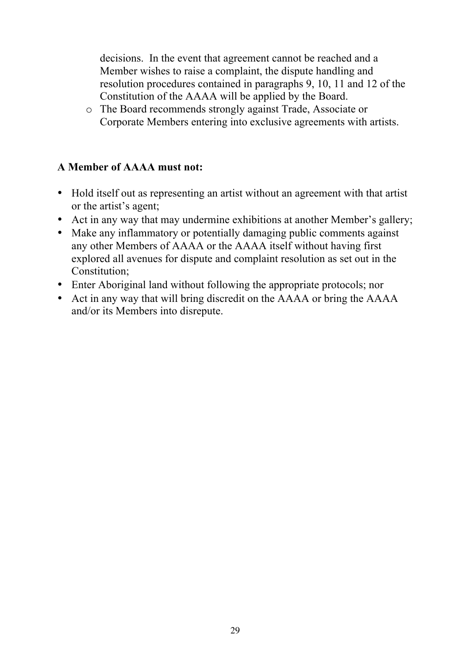decisions. In the event that agreement cannot be reached and a Member wishes to raise a complaint, the dispute handling and resolution procedures contained in paragraphs 9, 10, 11 and 12 of the Constitution of the AAAA will be applied by the Board.

o The Board recommends strongly against Trade, Associate or Corporate Members entering into exclusive agreements with artists.

## **A Member of AAAA must not:**

- Hold itself out as representing an artist without an agreement with that artist or the artist's agent;
- Act in any way that may undermine exhibitions at another Member's gallery;
- Make any inflammatory or potentially damaging public comments against any other Members of AAAA or the AAAA itself without having first explored all avenues for dispute and complaint resolution as set out in the Constitution;
- Enter Aboriginal land without following the appropriate protocols; nor
- Act in any way that will bring discredit on the AAAA or bring the AAAA and/or its Members into disrepute.